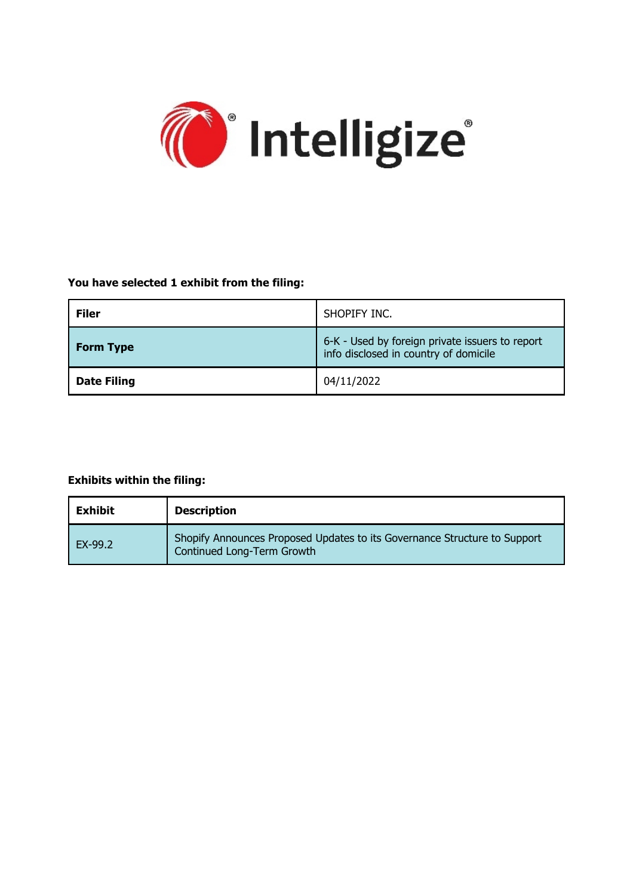

# **You have selected 1 exhibit from the filing:**

| <b>Filer</b>       | SHOPIFY INC.                                                                             |
|--------------------|------------------------------------------------------------------------------------------|
| <b>Form Type</b>   | 6-K - Used by foreign private issuers to report<br>info disclosed in country of domicile |
| <b>Date Filing</b> | 04/11/2022                                                                               |

## **Exhibits within the filing:**

| <b>Exhibit</b> | <b>Description</b>                                                                                      |
|----------------|---------------------------------------------------------------------------------------------------------|
| EX-99.2        | Shopify Announces Proposed Updates to its Governance Structure to Support<br>Continued Long-Term Growth |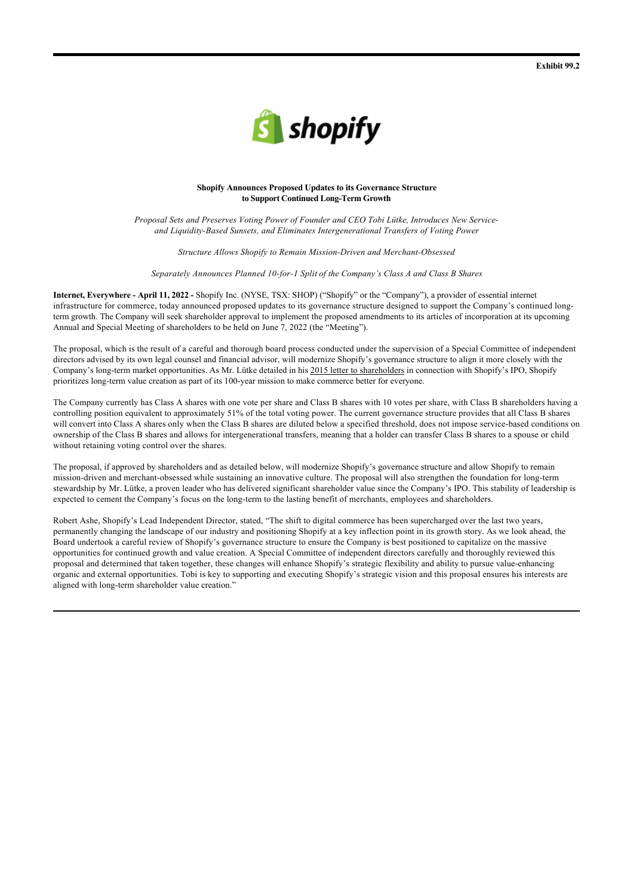

### **Shopify Announces Proposed Updates to its Governance Structure to Support Continued Long-Term Growth**

*Proposal Sets and Preserves Voting Power of Founder and CEO Tobi Lütke, Introduces New Serviceand Liquidity-Based Sunsets, and Eliminates Intergenerational Transfers of Voting Power*

*Structure Allows Shopify to Remain Mission-Driven and Merchant-Obsessed*

*Separately Announces Planned 10-for-1 Split of the Company's Class A and Class B Shares*

**Internet, Everywhere - April 11, 2022 -** Shopify Inc. (NYSE, TSX: SHOP) ("Shopify" or the "Company"), a provider of essential internet infrastructure for commerce, today announced proposed updates to its governance structure designed to support the Company's continued longterm growth. The Company will seek shareholder approval to implement the proposed amendments to its articles of incorporation at its upcoming Annual and Special Meeting of shareholders to be held on June 7, 2022 (the "Meeting").

The proposal, which is the result of a careful and thorough board process conducted under the supervision of a Special Committee of independent directors advised by its own legal counsel and financial advisor, will modernize Shopify's governance structure to align it more closely with the Company's long-term market opportunities. As Mr. Lütke detailed in his 2015 letter to shareholders in connection with Shopify's IPO, Shopify prioritizes long-term value creation as part of its 100-year mission to make commerce better for everyone.

The Company currently has Class A shares with one vote per share and Class B shares with 10 votes per share, with Class B shareholders having a controlling position equivalent to approximately 51% of the total voting power. The current governance structure provides that all Class B shares will convert into Class A shares only when the Class B shares are diluted below a specified threshold, does not impose service-based conditions on ownership of the Class B shares and allows for intergenerational transfers, meaning that a holder can transfer Class B shares to a spouse or child without retaining voting control over the shares.

The proposal, if approved by shareholders and as detailed below, will modernize Shopify's governance structure and allow Shopify to remain mission-driven and merchant-obsessed while sustaining an innovative culture. The proposal will also strengthen the foundation for long-term stewardship by Mr. Lütke, a proven leader who has delivered significant shareholder value since the Company's IPO. This stability of leadership is expected to cement the Company's focus on the long-term to the lasting benefit of merchants, employees and shareholders.

Robert Ashe, Shopify's Lead Independent Director, stated, "The shift to digital commerce has been supercharged over the last two years, permanently changing the landscape of our industry and positioning Shopify at a key inflection point in its growth story. As we look ahead, the Board undertook a careful review of Shopify's governance structure to ensure the Company is best positioned to capitalize on the massive opportunities for continued growth and value creation. A Special Committee of independent directors carefully and thoroughly reviewed this proposal and determined that taken together, these changes will enhance Shopify's strategic flexibility and ability to pursue value-enhancing organic and external opportunities. Tobi is key to supporting and executing Shopify's strategic vision and this proposal ensures his interests are aligned with long-term shareholder value creation."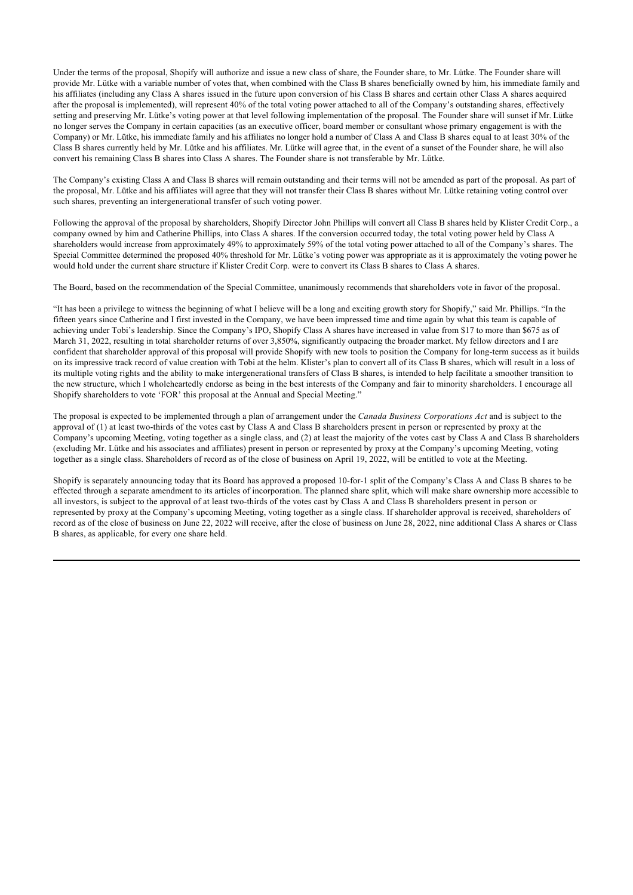Under the terms of the proposal, Shopify will authorize and issue a new class of share, the Founder share, to Mr. Lütke. The Founder share will provide Mr. Lütke with a variable number of votes that, when combined with the Class B shares beneficially owned by him, his immediate family and his affiliates (including any Class A shares issued in the future upon conversion of his Class B shares and certain other Class A shares acquired after the proposal is implemented), will represent 40% of the total voting power attached to all of the Company's outstanding shares, effectively setting and preserving Mr. Lütke's voting power at that level following implementation of the proposal. The Founder share will sunset if Mr. Lütke no longer serves the Company in certain capacities (as an executive officer, board member or consultant whose primary engagement is with the Company) or Mr. Lütke, his immediate family and his affiliates no longer hold a number of Class A and Class B shares equal to at least 30% of the Class B shares currently held by Mr. Lütke and his affiliates. Mr. Lütke will agree that, in the event of a sunset of the Founder share, he will also convert his remaining Class B shares into Class A shares. The Founder share is not transferable by Mr. Lütke.

The Company's existing Class A and Class B shares will remain outstanding and their terms will not be amended as part of the proposal. As part of the proposal, Mr. Lütke and his affiliates will agree that they will not transfer their Class B shares without Mr. Lütke retaining voting control over such shares, preventing an intergenerational transfer of such voting power.

Following the approval of the proposal by shareholders, Shopify Director John Phillips will convert all Class B shares held by Klister Credit Corp., a company owned by him and Catherine Phillips, into Class A shares. If the conversion occurred today, the total voting power held by Class A shareholders would increase from approximately 49% to approximately 59% of the total voting power attached to all of the Company's shares. The Special Committee determined the proposed 40% threshold for Mr. Lütke's voting power was appropriate as it is approximately the voting power he would hold under the current share structure if Klister Credit Corp. were to convert its Class B shares to Class A shares.

The Board, based on the recommendation of the Special Committee, unanimously recommends that shareholders vote in favor of the proposal.

"It has been a privilege to witness the beginning of what I believe will be a long and exciting growth story for Shopify," said Mr. Phillips. "In the fifteen years since Catherine and I first invested in the Company, we have been impressed time and time again by what this team is capable of achieving under Tobi's leadership. Since the Company's IPO, Shopify Class A shares have increased in value from \$17 to more than \$675 as of March 31, 2022, resulting in total shareholder returns of over 3,850%, significantly outpacing the broader market. My fellow directors and I are confident that shareholder approval of this proposal will provide Shopify with new tools to position the Company for long-term success as it builds on its impressive track record of value creation with Tobi at the helm. Klister's plan to convert all of its Class B shares, which will result in a loss of its multiple voting rights and the ability to make intergenerational transfers of Class B shares, is intended to help facilitate a smoother transition to the new structure, which I wholeheartedly endorse as being in the best interests of the Company and fair to minority shareholders. I encourage all Shopify shareholders to vote 'FOR' this proposal at the Annual and Special Meeting."

The proposal is expected to be implemented through a plan of arrangement under the *Canada Business Corporations Act* and is subject to the approval of (1) at least two-thirds of the votes cast by Class A and Class B shareholders present in person or represented by proxy at the Company's upcoming Meeting, voting together as a single class, and (2) at least the majority of the votes cast by Class A and Class B shareholders (excluding Mr. Lütke and his associates and affiliates) present in person or represented by proxy at the Company's upcoming Meeting, voting together as a single class. Shareholders of record as of the close of business on April 19, 2022, will be entitled to vote at the Meeting.

Shopify is separately announcing today that its Board has approved a proposed 10-for-1 split of the Company's Class A and Class B shares to be effected through a separate amendment to its articles of incorporation. The planned share split, which will make share ownership more accessible to all investors, is subject to the approval of at least two-thirds of the votes cast by Class A and Class B shareholders present in person or represented by proxy at the Company's upcoming Meeting, voting together as a single class. If shareholder approval is received, shareholders of record as of the close of business on June 22, 2022 will receive, after the close of business on June 28, 2022, nine additional Class A shares or Class B shares, as applicable, for every one share held.